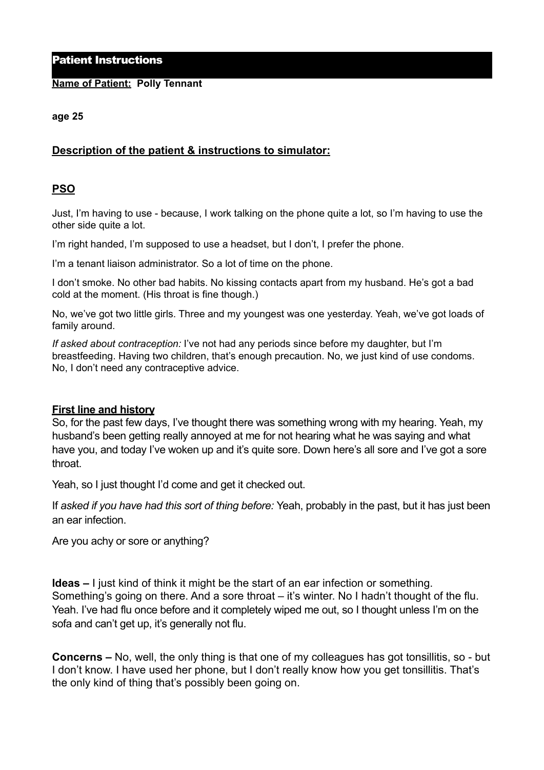## Patient Instructions

## **Name of Patient: Polly Tennant**

#### **age 25**

# **Description of the patient & instructions to simulator:**

## **PSO**

Just, I'm having to use - because, I work talking on the phone quite a lot, so I'm having to use the other side quite a lot.

I'm right handed, I'm supposed to use a headset, but I don't, I prefer the phone.

I'm a tenant liaison administrator. So a lot of time on the phone.

I don't smoke. No other bad habits. No kissing contacts apart from my husband. He's got a bad cold at the moment. (His throat is fine though.)

No, we've got two little girls. Three and my youngest was one yesterday. Yeah, we've got loads of family around.

*If asked about contraception:* I've not had any periods since before my daughter, but I'm breastfeeding. Having two children, that's enough precaution. No, we just kind of use condoms. No, I don't need any contraceptive advice.

## **First line and history**

So, for the past few days, I've thought there was something wrong with my hearing. Yeah, my husband's been getting really annoyed at me for not hearing what he was saying and what have you, and today I've woken up and it's quite sore. Down here's all sore and I've got a sore throat.

Yeah, so I just thought I'd come and get it checked out.

If *asked if you have had this sort of thing before:* Yeah, probably in the past, but it has just been an ear infection.

Are you achy or sore or anything?

**Ideas –** I just kind of think it might be the start of an ear infection or something. Something's going on there. And a sore throat – it's winter. No I hadn't thought of the flu. Yeah. I've had flu once before and it completely wiped me out, so I thought unless I'm on the sofa and can't get up, it's generally not flu.

**Concerns –** No, well, the only thing is that one of my colleagues has got tonsillitis, so - but I don't know. I have used her phone, but I don't really know how you get tonsillitis. That's the only kind of thing that's possibly been going on.